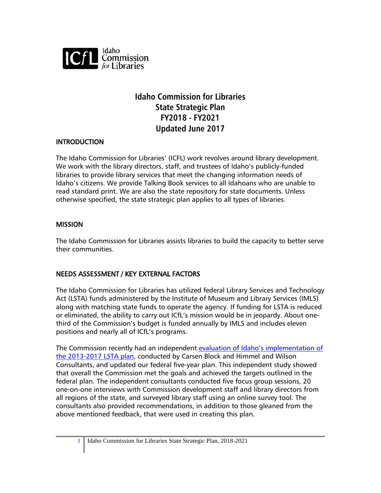

# **Idaho Commission for Libraries State Strategic Plan FY2018 - FY2021 Updated June 2017**

#### **INTRODUCTION**

The Idaho Commission for Libraries' (ICFL) work revolves around library development. We work with the library directors, staff, and trustees of Idaho's publicly-funded libraries to provide library services that meet the changing information needs of Idaho's citizens. We provide Talking Book services to all Idahoans who are unable to read standard print. We are also the state repository for state documents. Unless otherwise specified, the state strategic plan applies to all types of libraries.

#### **MISSION**

The Idaho Commission for Libraries assists libraries to build the capacity to better serve their communities.

#### NEEDS ASSESSMENT / KEY EXTERNAL FACTORS

The Idaho Commission for Libraries has utilized federal Library Services and Technology Act (LSTA) funds administered by the Institute of Museum and Library Services (IMLS) along with matching state funds to operate the agency. If funding for LSTA is reduced or eliminated, the ability to carry out ICfL's mission would be in jeopardy. About onethird of the Commission's budget is funded annually by IMLS and includes eleven positions and nearly all of ICfL's programs.

The Commission recently had an independent [evaluation of Idaho's implementation of](http://libraries.idaho.gov/files/IDLSTAEvaluationReport2013-2017%20(03%2022%2017).pdf)  [the 2013-2017 LSTA plan,](http://libraries.idaho.gov/files/IDLSTAEvaluationReport2013-2017%20(03%2022%2017).pdf) conducted by Carsen Block and Himmel and Wilson Consultants, and updated our federal five-year plan. This independent study showed that overall the Commission met the goals and achieved the targets outlined in the federal plan. The independent consultants conducted five focus group sessions, 20 one-on-one interviews with Commission development staff and library directors from all regions of the state, and surveyed library staff using an online survey tool. The consultants also provided recommendations, in addition to those gleaned from the above mentioned feedback, that were used in creating this plan.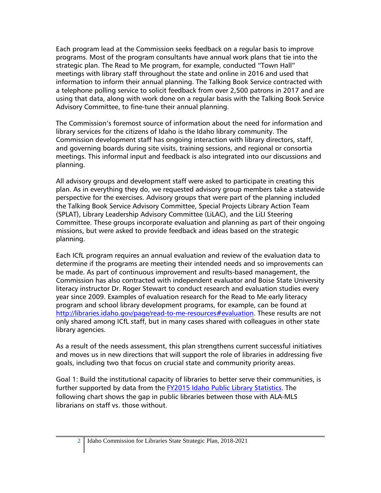Each program lead at the Commission seeks feedback on a regular basis to improve programs. Most of the program consultants have annual work plans that tie into the strategic plan. The Read to Me program, for example, conducted "Town Hall" meetings with library staff throughout the state and online in 2016 and used that information to inform their annual planning. The Talking Book Service contracted with a telephone polling service to solicit feedback from over 2,500 patrons in 2017 and are using that data, along with work done on a regular basis with the Talking Book Service Advisory Committee, to fine-tune their annual planning.

The Commission's foremost source of information about the need for information and library services for the citizens of Idaho is the Idaho library community. The Commission development staff has ongoing interaction with library directors, staff, and governing boards during site visits, training sessions, and regional or consortia meetings. This informal input and feedback is also integrated into our discussions and planning.

All advisory groups and development staff were asked to participate in creating this plan. As in everything they do, we requested advisory group members take a statewide perspective for the exercises. Advisory groups that were part of the planning included the Talking Book Service Advisory Committee, Special Projects Library Action Team (SPLAT), Library Leadership Advisory Committee (LiLAC), and the LiLI Steering Committee. These groups incorporate evaluation and planning as part of their ongoing missions, but were asked to provide feedback and ideas based on the strategic planning.

Each ICfL program requires an annual evaluation and review of the evaluation data to determine if the programs are meeting their intended needs and so improvements can be made. As part of continuous improvement and results-based management, the Commission has also contracted with independent evaluator and Boise State University literacy instructor Dr. Roger Stewart to conduct research and evaluation studies every year since 2009. Examples of evaluation research for the Read to Me early literacy program and school library development programs, for example, can be found at [http://libraries.idaho.gov/page/read-to-me-resources#evaluation.](http://libraries.idaho.gov/page/read-to-me-resources#evaluation) These results are not only shared among ICfL staff, but in many cases shared with colleagues in other state library agencies.

As a result of the needs assessment, this plan strengthens current successful initiatives and moves us in new directions that will support the role of libraries in addressing five goals, including two that focus on crucial state and community priority areas.

Goal 1: Build the institutional capacity of libraries to better serve their communities, is further supported by data from the [FY2015 Idaho Public Library Statistics.](http://libraries.idaho.gov/files/Final%20Stats%2015.pdf) The following chart shows the gap in public libraries between those with ALA-MLS librarians on staff vs. those without.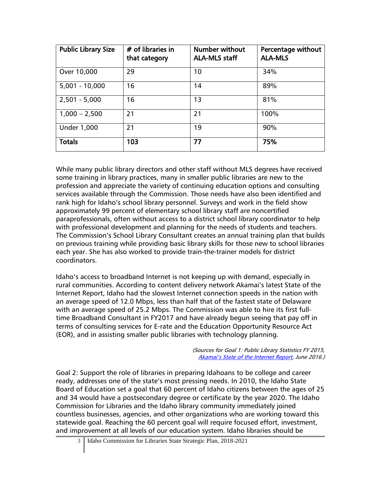| <b>Public Library Size</b> | $#$ of libraries in<br>that category | <b>Number without</b><br><b>ALA-MLS staff</b> | Percentage without<br><b>ALA-MLS</b> |
|----------------------------|--------------------------------------|-----------------------------------------------|--------------------------------------|
| Over 10,000                | 29                                   | 10                                            | 34%                                  |
| $5,001 - 10,000$           | 16                                   | 14                                            | 89%                                  |
| $2,501 - 5,000$            | 16                                   | 13                                            | 81%                                  |
| $1,000 - 2,500$            | 21                                   | 21                                            | 100%                                 |
| <b>Under 1,000</b>         | 21                                   | 19                                            | 90%                                  |
| <b>Totals</b>              | 103                                  | 77                                            | 75%                                  |

While many public library directors and other staff without MLS degrees have received some training in library practices, many in smaller public libraries are new to the profession and appreciate the variety of continuing education options and consulting services available through the Commission. Those needs have also been identified and rank high for Idaho's school library personnel. Surveys and work in the field show approximately 99 percent of elementary school library staff are noncertified paraprofessionals, often without access to a district school library coordinator to help with professional development and planning for the needs of students and teachers. The Commission's School Library Consultant creates an annual training plan that builds on previous training while providing basic library skills for those new to school libraries each year. She has also worked to provide train-the-trainer models for district coordinators.

Idaho's access to broadband Internet is not keeping up with demand, especially in rural communities. According to content delivery network Akamai's latest State of the Internet Report, Idaho had the slowest Internet connection speeds in the nation with an average speed of 12.0 Mbps, less than half that of the fastest state of Delaware with an average speed of 25.2 Mbps. The Commission was able to hire its first fulltime Broadband Consultant in FY2017 and have already begun seeing that pay off in terms of consulting services for E-rate and the Education Opportunity Resource Act (EOR), and in assisting smaller public libraries with technology planning.

> (Sources for Goal 1: Public Library Statistics FY 2015, [Akamai's State of the Internet Report,](https://www.akamai.com/us/en/about/our-thinking/state-of-the-internet-report/) June 2016.)

Goal 2: Support the role of libraries in preparing Idahoans to be college and career ready, addresses one of the state's most pressing needs. In 2010, the Idaho State Board of Education set a goal that 60 percent of Idaho citizens between the ages of 25 and 34 would have a postsecondary degree or certificate by the year 2020. The Idaho Commission for Libraries and the Idaho library community immediately joined countless businesses, agencies, and other organizations who are working toward this statewide goal. Reaching the 60 percent goal will require focused effort, investment, and improvement at all levels of our education system. Idaho libraries should be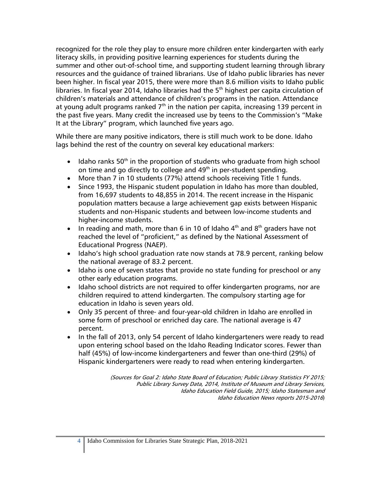recognized for the role they play to ensure more children enter kindergarten with early literacy skills, in providing positive learning experiences for students during the summer and other out-of-school time, and supporting student learning through library resources and the guidance of trained librarians. Use of Idaho public libraries has never been higher. In fiscal year 2015, there were more than 8.6 million visits to Idaho public libraries. In fiscal year 2014, Idaho libraries had the  $5<sup>th</sup>$  highest per capita circulation of children's materials and attendance of children's programs in the nation. Attendance at young adult programs ranked  $7<sup>th</sup>$  in the nation per capita, increasing 139 percent in the past five years. Many credit the increased use by teens to the Commission's "Make It at the Library" program, which launched five years ago.

While there are many positive indicators, there is still much work to be done. Idaho lags behind the rest of the country on several key educational markers:

- $\bullet$  Idaho ranks 50<sup>th</sup> in the proportion of students who graduate from high school on time and go directly to college and  $49<sup>th</sup>$  in per-student spending.
- More than 7 in 10 students (77%) attend schools receiving Title 1 funds.
- Since 1993, the Hispanic student population in Idaho has more than doubled, from 16,697 students to 48,855 in 2014. The recent increase in the Hispanic population matters because a large achievement gap exists between Hispanic students and non-Hispanic students and between low-income students and higher-income students.
- In reading and math, more than 6 in 10 of Idaho  $4<sup>th</sup>$  and  $8<sup>th</sup>$  graders have not reached the level of "proficient," as defined by the National Assessment of Educational Progress (NAEP).
- Idaho's high school graduation rate now stands at 78.9 percent, ranking below the national average of 83.2 percent.
- Idaho is one of seven states that provide no state funding for preschool or any other early education programs.
- Idaho school districts are not required to offer kindergarten programs, nor are children required to attend kindergarten. The compulsory starting age for education in Idaho is seven years old.
- Only 35 percent of three- and four-year-old children in Idaho are enrolled in some form of preschool or enriched day care. The national average is 47 percent.
- In the fall of 2013, only 54 percent of Idaho kindergarteners were ready to read upon entering school based on the Idaho Reading Indicator scores. Fewer than half (45%) of low-income kindergarteners and fewer than one-third (29%) of Hispanic kindergarteners were ready to read when entering kindergarten.

(Sources for Goal 2: Idaho State Board of Education; Public Library Statistics FY 2015; Public Library Survey Data, 2014, Institute of Museum and Library Services, Idaho Education Field Guide, 2015; Idaho Statesman and Idaho Education News reports 2015-2016)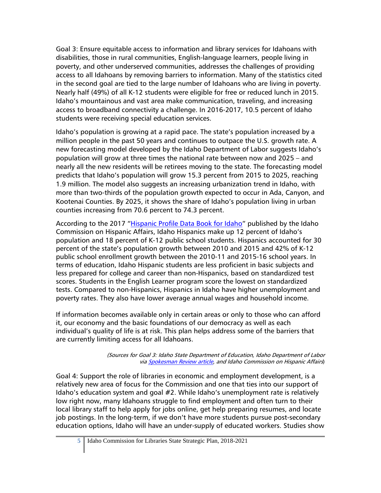Goal 3: Ensure equitable access to information and library services for Idahoans with disabilities, those in rural communities, English-language learners, people living in poverty, and other underserved communities, addresses the challenges of providing access to all Idahoans by removing barriers to information. Many of the statistics cited in the second goal are tied to the large number of Idahoans who are living in poverty. Nearly half (49%) of all K-12 students were eligible for free or reduced lunch in 2015. Idaho's mountainous and vast area make communication, traveling, and increasing access to broadband connectivity a challenge. In 2016-2017, 10.5 percent of Idaho students were receiving special education services.

Idaho's population is growing at a rapid pace. The state's population increased by a million people in the past 50 years and continues to outpace the U.S. growth rate. A new forecasting model developed by the Idaho Department of Labor suggests Idaho's population will grow at three times the national rate between now and 2025 – and nearly all the new residents will be retirees moving to the state. The forecasting model predicts that Idaho's population will grow 15.3 percent from 2015 to 2025, reaching 1.9 million. The model also suggests an increasing urbanization trend in Idaho, with more than two-thirds of the population growth expected to occur in Ada, Canyon, and Kootenai Counties. By 2025, it shows the share of Idaho's population living in urban counties increasing from 70.6 percent to 74.3 percent.

According to the 2017 ["Hispanic Profile Data Book for Idaho"](https://icha.idaho.gov/docs/Hispanic%20Profile%20Data%20Book%202017%20-%20FINAL%20(2%2023%2017).pdf) published by the Idaho Commission on Hispanic Affairs, Idaho Hispanics make up 12 percent of Idaho's population and 18 percent of K-12 public school students. Hispanics accounted for 30 percent of the state's population growth between 2010 and 2015 and 42% of K-12 public school enrollment growth between the 2010-11 and 2015-16 school years. In terms of education, Idaho Hispanic students are less proficient in basic subjects and less prepared for college and career than non-Hispanics, based on standardized test scores. Students in the English Learner program score the lowest on standardized tests. Compared to non-Hispanics, Hispanics in Idaho have higher unemployment and poverty rates. They also have lower average annual wages and household income.

If information becomes available only in certain areas or only to those who can afford it, our economy and the basic foundations of our democracy as well as each individual's quality of life is at risk. This plan helps address some of the barriers that are currently limiting access for all Idahoans.

> (Sources for Goal 3: Idaho State Department of Education, Idaho Department of Labor vi[a Spokesman Review article,](http://www.spokesman.com/stories/2017/jun/01/idaho-population-forecast-to-grow-at-three-times-n/) and Idaho Commission on Hispanic Affairs)

Goal 4: Support the role of libraries in economic and employment development, is a relatively new area of focus for the Commission and one that ties into our support of Idaho's education system and goal #2. While Idaho's unemployment rate is relatively low right now, many Idahoans struggle to find employment and often turn to their local library staff to help apply for jobs online, get help preparing resumes, and locate job postings. In the long-term, if we don't have more students pursue post-secondary education options, Idaho will have an under-supply of educated workers. Studies show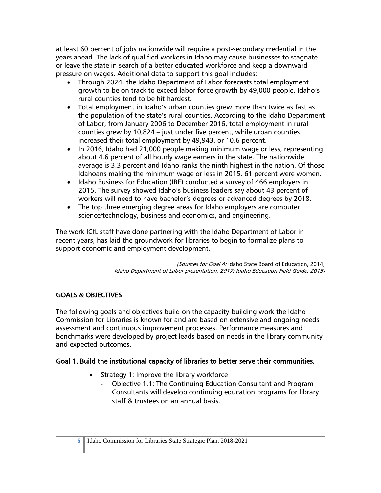at least 60 percent of jobs nationwide will require a post-secondary credential in the years ahead. The lack of qualified workers in Idaho may cause businesses to stagnate or leave the state in search of a better educated workforce and keep a downward pressure on wages. Additional data to support this goal includes:

- Through 2024, the Idaho Department of Labor forecasts total employment growth to be on track to exceed labor force growth by 49,000 people. Idaho's rural counties tend to be hit hardest.
- Total employment in Idaho's urban counties grew more than twice as fast as the population of the state's rural counties. According to the Idaho Department of Labor, from January 2006 to December 2016, total employment in rural counties grew by 10,824 – just under five percent, while urban counties increased their total employment by 49,943, or 10.6 percent.
- In 2016, Idaho had 21,000 people making minimum wage or less, representing about 4.6 percent of all hourly wage earners in the state. The nationwide average is 3.3 percent and Idaho ranks the ninth highest in the nation. Of those Idahoans making the minimum wage or less in 2015, 61 percent were women.
- Idaho Business for Education (IBE) conducted a survey of 466 employers in 2015. The survey showed Idaho's business leaders say about 43 percent of workers will need to have bachelor's degrees or advanced degrees by 2018.
- The top three emerging degree areas for Idaho employers are computer science/technology, business and economics, and engineering.

The work ICfL staff have done partnering with the Idaho Department of Labor in recent years, has laid the groundwork for libraries to begin to formalize plans to support economic and employment development.

> (Sources for Goal 4: Idaho State Board of Education, 2014; Idaho Department of Labor presentation, 2017; Idaho Education Field Guide, 2015)

# GOALS & OBJECTIVES

The following goals and objectives build on the capacity-building work the Idaho Commission for Libraries is known for and are based on extensive and ongoing needs assessment and continuous improvement processes. Performance measures and benchmarks were developed by project leads based on needs in the library community and expected outcomes.

# Goal 1. Build the institutional capacity of libraries to better serve their communities.

- Strategy 1: Improve the library workforce
	- Objective 1.1: The Continuing Education Consultant and Program Consultants will develop continuing education programs for library staff & trustees on an annual basis.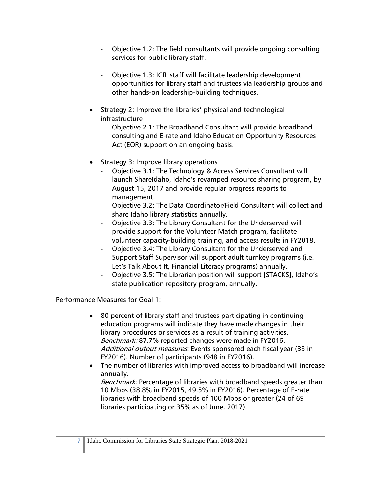- Objective 1.2: The field consultants will provide ongoing consulting services for public library staff.
- Objective 1.3: ICfL staff will facilitate leadership development opportunities for library staff and trustees via leadership groups and other hands-on leadership-building techniques.
- Strategy 2: Improve the libraries' physical and technological infrastructure
	- Objective 2.1: The Broadband Consultant will provide broadband consulting and E-rate and Idaho Education Opportunity Resources Act (EOR) support on an ongoing basis.
- Strategy 3: Improve library operations
	- Objective 3.1: The Technology & Access Services Consultant will launch ShareIdaho, Idaho's revamped resource sharing program, by August 15, 2017 and provide regular progress reports to management.
	- Objective 3.2: The Data Coordinator/Field Consultant will collect and share Idaho library statistics annually.
	- Objective 3.3: The Library Consultant for the Underserved will provide support for the Volunteer Match program, facilitate volunteer capacity-building training, and access results in FY2018.
	- Objective 3.4: The Library Consultant for the Underserved and Support Staff Supervisor will support adult turnkey programs (i.e. Let's Talk About It, Financial Literacy programs) annually.
	- Objective 3.5: The Librarian position will support [STACKS], Idaho's state publication repository program, annually.

Performance Measures for Goal 1:

- 80 percent of library staff and trustees participating in continuing education programs will indicate they have made changes in their library procedures or services as a result of training activities. Benchmark: 87.7% reported changes were made in FY2016. Additional output measures: Events sponsored each fiscal year (33 in FY2016). Number of participants (948 in FY2016).
- The number of libraries with improved access to broadband will increase annually.

Benchmark: Percentage of libraries with broadband speeds greater than 10 Mbps (38.8% in FY2015, 49.5% in FY2016). Percentage of E-rate libraries with broadband speeds of 100 Mbps or greater (24 of 69 libraries participating or 35% as of June, 2017).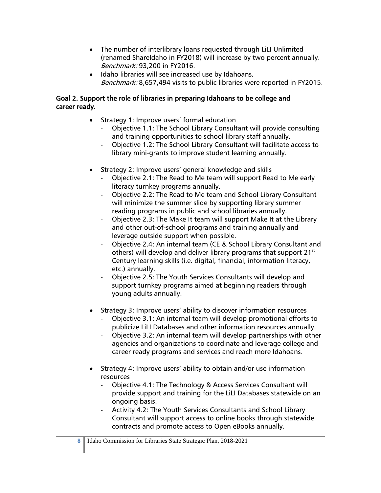- The number of interlibrary loans requested through LiLI Unlimited (renamed ShareIdaho in FY2018) will increase by two percent annually. Benchmark: 93,200 in FY2016.
- Idaho libraries will see increased use by Idahoans. Benchmark: 8,657,494 visits to public libraries were reported in FY2015.

#### Goal 2. Support the role of libraries in preparing Idahoans to be college and career ready.

- Strategy 1: Improve users' formal education
	- Objective 1.1: The School Library Consultant will provide consulting and training opportunities to school library staff annually.
	- Objective 1.2: The School Library Consultant will facilitate access to library mini-grants to improve student learning annually.
- Strategy 2: Improve users' general knowledge and skills
	- Objective 2.1: The Read to Me team will support Read to Me early literacy turnkey programs annually.
	- Objective 2.2: The Read to Me team and School Library Consultant will minimize the summer slide by supporting library summer reading programs in public and school libraries annually.
	- Objective 2.3: The Make It team will support Make It at the Library and other out-of-school programs and training annually and leverage outside support when possible.
	- Objective 2.4: An internal team (CE & School Library Consultant and others) will develop and deliver library programs that support 21<sup>st</sup> Century learning skills (i.e. digital, financial, information literacy, etc.) annually.
	- Objective 2.5: The Youth Services Consultants will develop and support turnkey programs aimed at beginning readers through young adults annually.
- Strategy 3: Improve users' ability to discover information resources
	- Objective 3.1: An internal team will develop promotional efforts to publicize LiLI Databases and other information resources annually.
	- Objective 3.2: An internal team will develop partnerships with other agencies and organizations to coordinate and leverage college and career ready programs and services and reach more Idahoans.
- Strategy 4: Improve users' ability to obtain and/or use information resources
	- Objective 4.1: The Technology & Access Services Consultant will provide support and training for the LiLI Databases statewide on an ongoing basis.
	- Activity 4.2: The Youth Services Consultants and School Library Consultant will support access to online books through statewide contracts and promote access to Open eBooks annually.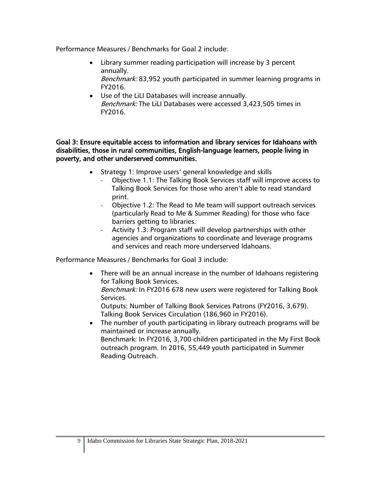Performance Measures / Benchmarks for Goal 2 include:

- Library summer reading participation will increase by 3 percent annually.
	- Benchmark: 83,952 youth participated in summer learning programs in FY2016.
- Use of the LiLI Databases will increase annually. Benchmark: The LiLI Databases were accessed 3,423,505 times in FY2016.

Goal 3: Ensure equitable access to information and library services for Idahoans with disabilities, those in rural communities, English-language learners, people living in poverty, and other underserved communities.

- Strategy 1: Improve users' general knowledge and skills
	- Objective 1.1: The Talking Book Services staff will improve access to Talking Book Services for those who aren't able to read standard print.
	- Objective 1.2: The Read to Me team will support outreach services (particularly Read to Me & Summer Reading) for those who face barriers getting to libraries.
	- Activity 1.3: Program staff will develop partnerships with other agencies and organizations to coordinate and leverage programs and services and reach more underserved Idahoans.

Performance Measures / Benchmarks for Goal 3 include:

• There will be an annual increase in the number of Idahoans registering for Talking Book Services.

Benchmark: In FY2016 678 new users were registered for Talking Book Services.

Outputs: Number of Talking Book Services Patrons (FY2016, 3,679). Talking Book Services Circulation (186,960 in FY2016).

• The number of youth participating in library outreach programs will be maintained or increase annually. Benchmark: In FY2016, 3,700 children participated in the My First Book outreach program. In 2016, 55,449 youth participated in Summer Reading Outreach.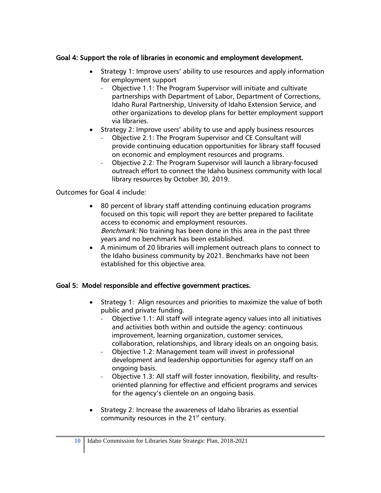#### Goal 4: Support the role of libraries in economic and employment development.

- Strategy 1: Improve users' ability to use resources and apply information for employment support
	- Objective 1.1: The Program Supervisor will initiate and cultivate partnerships with Department of Labor, Department of Corrections, Idaho Rural Partnership, University of Idaho Extension Service, and other organizations to develop plans for better employment support via libraries.
- Strategy 2: Improve users' ability to use and apply business resources
	- Objective 2.1: The Program Supervisor and CE Consultant will provide continuing education opportunities for library staff focused on economic and employment resources and programs.
	- Objective 2.2: The Program Supervisor will launch a library-focused outreach effort to connect the Idaho business community with local library resources by October 30, 2019.

Outcomes for Goal 4 include:

- 80 percent of library staff attending continuing education programs focused on this topic will report they are better prepared to facilitate access to economic and employment resources. Benchmark: No training has been done in this area in the past three years and no benchmark has been established.
- A minimum of 20 libraries will implement outreach plans to connect to the Idaho business community by 2021. Benchmarks have not been established for this objective area.

#### Goal 5: Model responsible and effective government practices.

- Strategy 1: Align resources and priorities to maximize the value of both public and private funding.
	- Objective 1.1: All staff will integrate agency values into all initiatives and activities both within and outside the agency: continuous improvement, learning organization, customer services, collaboration, relationships, and library ideals on an ongoing basis.
	- Objective 1.2: Management team will invest in professional development and leadership opportunities for agency staff on an ongoing basis.
	- Objective 1.3: All staff will foster innovation, flexibility, and resultsoriented planning for effective and efficient programs and services for the agency's clientele on an ongoing basis.
- Strategy 2: Increase the awareness of Idaho libraries as essential community resources in the 21<sup>st</sup> century.